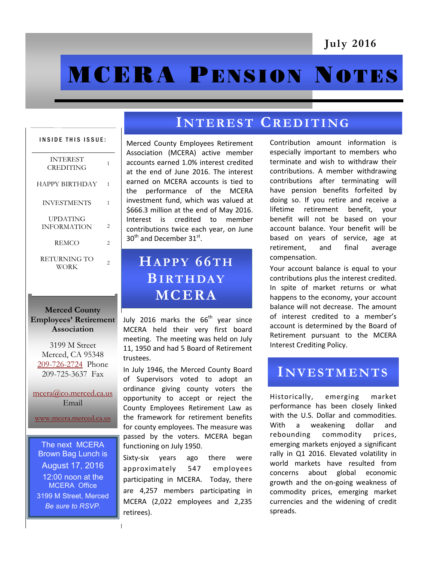# **MCERA PENSION NOTES**

| INSIDE THIS ISSUE:                    |   |
|---------------------------------------|---|
| <b>INTEREST</b><br>CREDITING          | 1 |
| <b>HAPPY BIRTHDAY</b>                 | 1 |
| <b>INVESTMENTS</b>                    | 1 |
| <b>UPDATING</b><br><b>INFORMATION</b> | 2 |
| <b>REMCO</b>                          | 2 |
| RETURNING TO<br>WORK                  | 2 |

#### **Merced County Employees' Retirement Association**

3199 M Street Merced, CA 95348 [209-726-2724](tel:+12097262724) Phone 209-725-3637 Fax

[mcera@co.merced.ca.us](mailto:mcera@co.merced.ca.us) Email

[www.mcera.merced.ca.us](http://www.mcera.merced.ca.us) 

The next MCERA Brown Bag Lunch is August 17, 2016 12:00 noon at the MCERA Office 3199 M Street, Merced *Be sure to RSVP.*

## **IN T E R E S T CR E D I T I NG**

Merced County Employees Retirement Association (MCERA) active member accounts earned 1.0% interest credited at the end of June 2016. The interest earned on MCERA accounts is tied to the performance of the MCERA investment fund, which was valued at \$666.3 million at the end of May 2016. Interest is credited to member contributions twice each year, on June  $30<sup>th</sup>$  and December  $31<sup>st</sup>$ .

# **HA P P Y 66T H BI RT H DA Y MCERA**

July 2016 marks the  $66<sup>th</sup>$  year since MCERA held their very first board meeting. The meeting was held on July 11, 1950 and had 5 Board of Retirement trustees.

In July 1946, the Merced County Board of Supervisors voted to adopt an ordinance giving county voters the opportunity to accept or reject the County Employees Retirement Law as the framework for retirement benefits for county employees. The measure was passed by the voters. MCERA began functioning on July 1950.

Sixty-six years ago there were approximately 547 employees participating in MCERA. Today, there are 4,257 members participating in MCERA (2,022 employees and 2,235 retirees).

Contribution amount information is especially important to members who terminate and wish to withdraw their contributions. A member withdrawing contributions after terminating will have pension benefits forfeited by doing so. If you retire and receive a lifetime retirement benefit, your benefit will not be based on your account balance. Your benefit will be based on years of service, age at retirement, and final average compensation.

Your account balance is equal to your contributions plus the interest credited. In spite of market returns or what happens to the economy, your account balance will not decrease. The amount of interest credited to a member's account is determined by the Board of Retirement pursuant to the MCERA Interest Crediting Policy.

## **IN V E S T M E N T S**

Historically, emerging market performance has been closely linked with the U.S. Dollar and commodities. With a weakening dollar and rebounding commodity prices, emerging markets enjoyed a significant rally in Q1 2016. Elevated volatility in world markets have resulted from concerns about global economic growth and the on-going weakness of commodity prices, emerging market currencies and the widening of credit spreads.